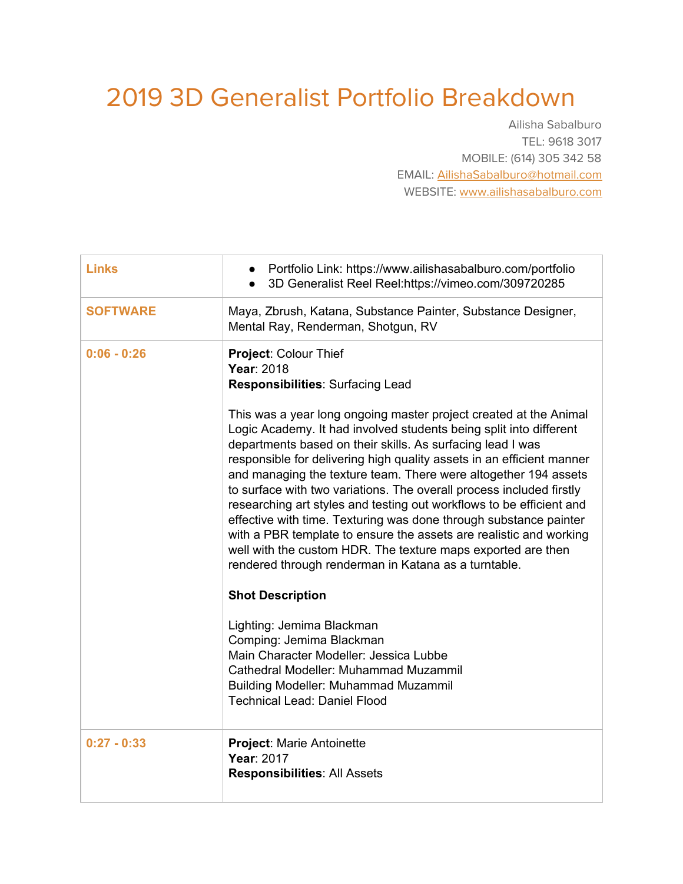## 2019 3D Generalist Portfolio Breakdown

Ailisha Sabalburo TEL: 9618 3017 MOBILE: (614) 305 342 58 EMAIL: [AilishaSabalburo@hotmail.com](mailto:AilishaSabalburo@hotmail.com) WEBSITE: [www.ailishasabalburo.com](http://www.ailishasabalburo.com/)

| <b>Links</b>    | Portfolio Link: https://www.ailishasabalburo.com/portfolio<br>3D Generalist Reel Reel:https://vimeo.com/309720285                                                                                                                                                                                                                                                                                                                                                                                                                                                                                                                                                                                                                                                                                                                                                                                                                                                                                                                                                                                                   |
|-----------------|---------------------------------------------------------------------------------------------------------------------------------------------------------------------------------------------------------------------------------------------------------------------------------------------------------------------------------------------------------------------------------------------------------------------------------------------------------------------------------------------------------------------------------------------------------------------------------------------------------------------------------------------------------------------------------------------------------------------------------------------------------------------------------------------------------------------------------------------------------------------------------------------------------------------------------------------------------------------------------------------------------------------------------------------------------------------------------------------------------------------|
| <b>SOFTWARE</b> | Maya, Zbrush, Katana, Substance Painter, Substance Designer,<br>Mental Ray, Renderman, Shotgun, RV                                                                                                                                                                                                                                                                                                                                                                                                                                                                                                                                                                                                                                                                                                                                                                                                                                                                                                                                                                                                                  |
| $0:06 - 0:26$   | Project: Colour Thief<br>Year: 2018<br><b>Responsibilities: Surfacing Lead</b><br>This was a year long ongoing master project created at the Animal<br>Logic Academy. It had involved students being split into different<br>departments based on their skills. As surfacing lead I was<br>responsible for delivering high quality assets in an efficient manner<br>and managing the texture team. There were altogether 194 assets<br>to surface with two variations. The overall process included firstly<br>researching art styles and testing out workflows to be efficient and<br>effective with time. Texturing was done through substance painter<br>with a PBR template to ensure the assets are realistic and working<br>well with the custom HDR. The texture maps exported are then<br>rendered through renderman in Katana as a turntable.<br><b>Shot Description</b><br>Lighting: Jemima Blackman<br>Comping: Jemima Blackman<br>Main Character Modeller: Jessica Lubbe<br>Cathedral Modeller: Muhammad Muzammil<br><b>Building Modeller: Muhammad Muzammil</b><br><b>Technical Lead: Daniel Flood</b> |
| $0:27 - 0:33$   | <b>Project: Marie Antoinette</b><br>Year: 2017<br><b>Responsibilities: All Assets</b>                                                                                                                                                                                                                                                                                                                                                                                                                                                                                                                                                                                                                                                                                                                                                                                                                                                                                                                                                                                                                               |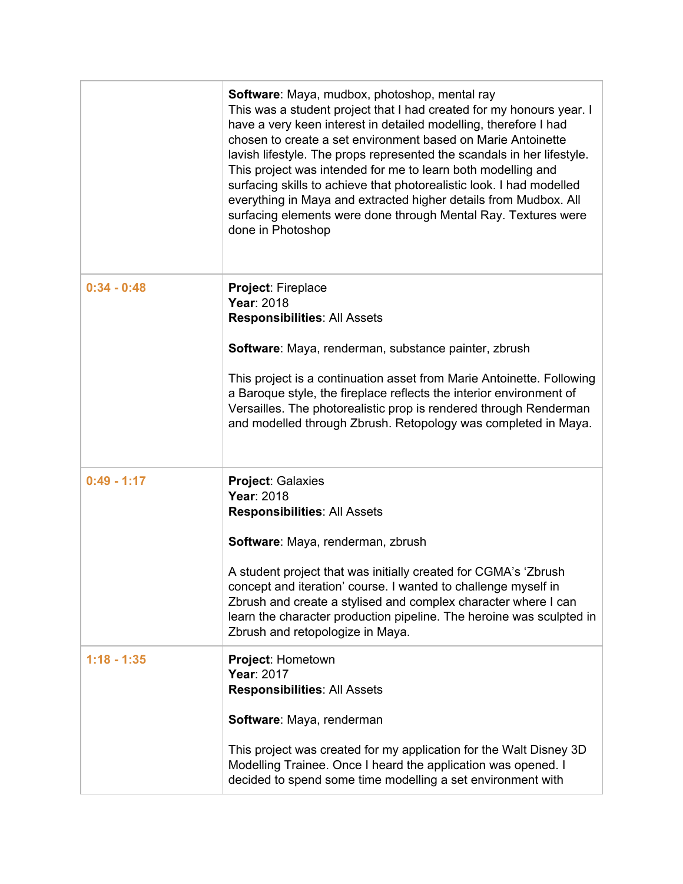|               | Software: Maya, mudbox, photoshop, mental ray<br>This was a student project that I had created for my honours year. I<br>have a very keen interest in detailed modelling, therefore I had<br>chosen to create a set environment based on Marie Antoinette<br>lavish lifestyle. The props represented the scandals in her lifestyle.<br>This project was intended for me to learn both modelling and<br>surfacing skills to achieve that photorealistic look. I had modelled<br>everything in Maya and extracted higher details from Mudbox. All<br>surfacing elements were done through Mental Ray. Textures were<br>done in Photoshop |
|---------------|----------------------------------------------------------------------------------------------------------------------------------------------------------------------------------------------------------------------------------------------------------------------------------------------------------------------------------------------------------------------------------------------------------------------------------------------------------------------------------------------------------------------------------------------------------------------------------------------------------------------------------------|
| $0:34 - 0:48$ | Project: Fireplace<br>Year: 2018<br><b>Responsibilities: All Assets</b>                                                                                                                                                                                                                                                                                                                                                                                                                                                                                                                                                                |
|               | Software: Maya, renderman, substance painter, zbrush                                                                                                                                                                                                                                                                                                                                                                                                                                                                                                                                                                                   |
|               | This project is a continuation asset from Marie Antoinette. Following<br>a Baroque style, the fireplace reflects the interior environment of<br>Versailles. The photorealistic prop is rendered through Renderman<br>and modelled through Zbrush. Retopology was completed in Maya.                                                                                                                                                                                                                                                                                                                                                    |
| $0:49 - 1:17$ | <b>Project: Galaxies</b><br>Year: 2018<br><b>Responsibilities: All Assets</b>                                                                                                                                                                                                                                                                                                                                                                                                                                                                                                                                                          |
|               | Software: Maya, renderman, zbrush                                                                                                                                                                                                                                                                                                                                                                                                                                                                                                                                                                                                      |
|               | A student project that was initially created for CGMA's 'Zbrush<br>concept and iteration' course. I wanted to challenge myself in<br>Zbrush and create a stylised and complex character where I can<br>learn the character production pipeline. The heroine was sculpted in<br>Zbrush and retopologize in Maya.                                                                                                                                                                                                                                                                                                                        |
| $1:18 - 1:35$ | Project: Hometown<br>Year: 2017<br><b>Responsibilities: All Assets</b>                                                                                                                                                                                                                                                                                                                                                                                                                                                                                                                                                                 |
|               | Software: Maya, renderman                                                                                                                                                                                                                                                                                                                                                                                                                                                                                                                                                                                                              |
|               | This project was created for my application for the Walt Disney 3D<br>Modelling Trainee. Once I heard the application was opened. I<br>decided to spend some time modelling a set environment with                                                                                                                                                                                                                                                                                                                                                                                                                                     |